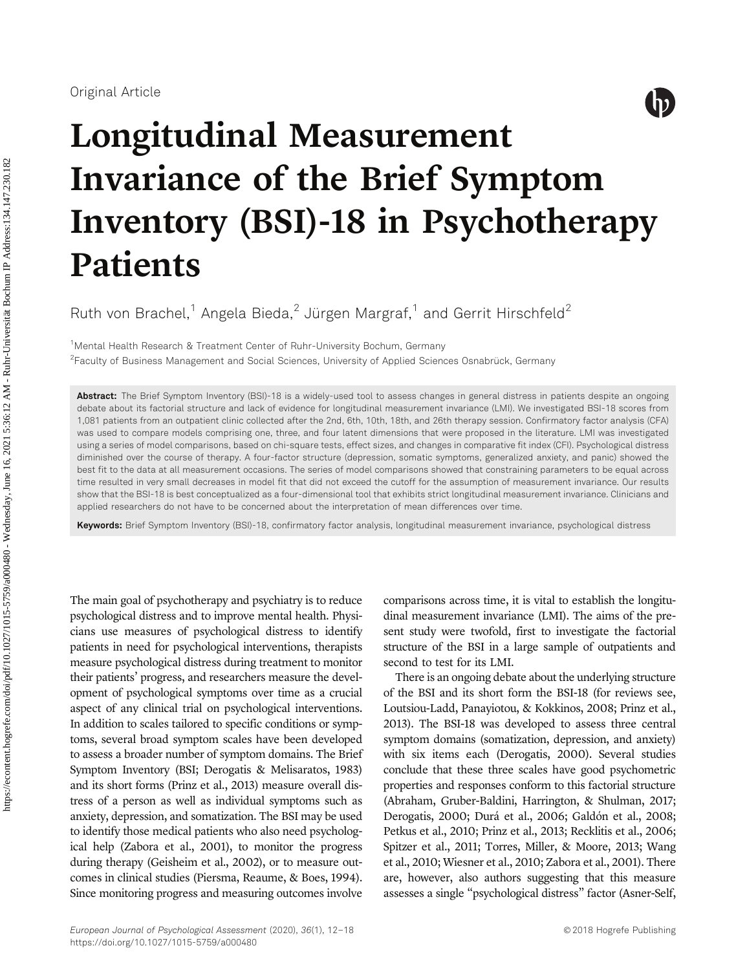

# Longitudinal Measurement Invariance of the Brief Symptom Inventory (BSI)-18 in Psychotherapy Patients

Ruth von Brachel,<sup>1</sup> Angela Bieda,<sup>2</sup> Jürgen Margraf,<sup>1</sup> and Gerrit Hirschfeld<sup>2</sup>

<sup>1</sup>Mental Health Research & Treatment Center of Ruhr-University Bochum, Germany 2 Faculty of Business Management and Social Sciences, University of Applied Sciences Osnabrück, Germany

Abstract: The Brief Symptom Inventory (BSI)-18 is a widely-used tool to assess changes in general distress in patients despite an ongoing debate about its factorial structure and lack of evidence for longitudinal measurement invariance (LMI). We investigated BSI-18 scores from 1,081 patients from an outpatient clinic collected after the 2nd, 6th, 10th, 18th, and 26th therapy session. Confirmatory factor analysis (CFA) was used to compare models comprising one, three, and four latent dimensions that were proposed in the literature. LMI was investigated using a series of model comparisons, based on chi-square tests, effect sizes, and changes in comparative fit index (CFI). Psychological distress diminished over the course of therapy. A four-factor structure (depression, somatic symptoms, generalized anxiety, and panic) showed the best fit to the data at all measurement occasions. The series of model comparisons showed that constraining parameters to be equal across time resulted in very small decreases in model fit that did not exceed the cutoff for the assumption of measurement invariance. Our results show that the BSI-18 is best conceptualized as a four-dimensional tool that exhibits strict longitudinal measurement invariance. Clinicians and applied researchers do not have to be concerned about the interpretation of mean differences over time.

Keywords: Brief Symptom Inventory (BSI)-18, confirmatory factor analysis, longitudinal measurement invariance, psychological distress

The main goal of psychotherapy and psychiatry is to reduce psychological distress and to improve mental health. Physicians use measures of psychological distress to identify patients in need for psychological interventions, therapists measure psychological distress during treatment to monitor their patients' progress, and researchers measure the development of psychological symptoms over time as a crucial aspect of any clinical trial on psychological interventions. In addition to scales tailored to specific conditions or symptoms, several broad symptom scales have been developed to assess a broader number of symptom domains. The Brief Symptom Inventory (BSI; Derogatis & Melisaratos, 1983) and its short forms (Prinz et al., 2013) measure overall distress of a person as well as individual symptoms such as anxiety, depression, and somatization. The BSI may be used to identify those medical patients who also need psychological help (Zabora et al., 2001), to monitor the progress during therapy (Geisheim et al., 2002), or to measure outcomes in clinical studies (Piersma, Reaume, & Boes, 1994). Since monitoring progress and measuring outcomes involve comparisons across time, it is vital to establish the longitudinal measurement invariance (LMI). The aims of the present study were twofold, first to investigate the factorial structure of the BSI in a large sample of outpatients and second to test for its LMI.

There is an ongoing debate about the underlying structure of the BSI and its short form the BSI-18 (for reviews see, Loutsiou-Ladd, Panayiotou, & Kokkinos, 2008; Prinz et al., 2013). The BSI-18 was developed to assess three central symptom domains (somatization, depression, and anxiety) with six items each (Derogatis, 2000). Several studies conclude that these three scales have good psychometric properties and responses conform to this factorial structure (Abraham, Gruber-Baldini, Harrington, & Shulman, 2017; Derogatis, 2000; Durá et al., 2006; Galdón et al., 2008; Petkus et al., 2010; Prinz et al., 2013; Recklitis et al., 2006; Spitzer et al., 2011; Torres, Miller, & Moore, 2013; Wang et al., 2010; Wiesner et al., 2010; Zabora et al., 2001). There are, however, also authors suggesting that this measure assesses a single "psychological distress" factor (Asner-Self,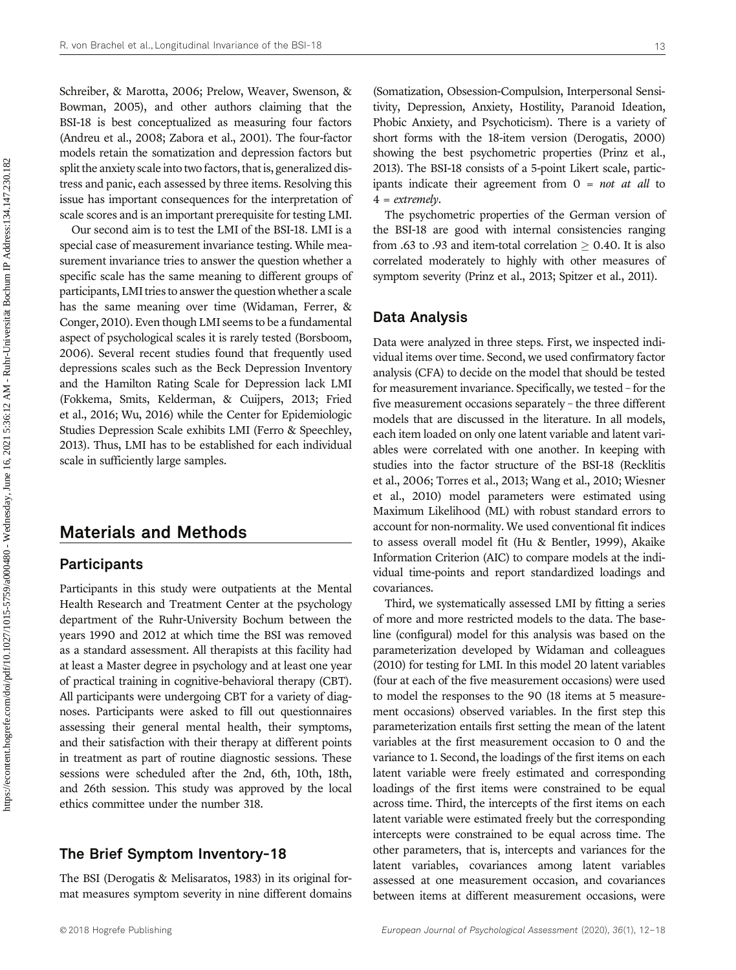Schreiber, & Marotta, 2006; Prelow, Weaver, Swenson, & Bowman, 2005), and other authors claiming that the BSI-18 is best conceptualized as measuring four factors (Andreu et al., 2008; Zabora et al., 2001). The four-factor models retain the somatization and depression factors but split the anxiety scale into two factors, that is, generalized distress and panic, each assessed by three items. Resolving this issue has important consequences for the interpretation of scale scores and is an important prerequisite for testing LMI.

Our second aim is to test the LMI of the BSI-18. LMI is a special case of measurement invariance testing. While measurement invariance tries to answer the question whether a specific scale has the same meaning to different groups of participants, LMI tries to answer the question whether a scale has the same meaning over time (Widaman, Ferrer, & Conger, 2010). Even though LMI seems to be a fundamental aspect of psychological scales it is rarely tested (Borsboom, 2006). Several recent studies found that frequently used depressions scales such as the Beck Depression Inventory and the Hamilton Rating Scale for Depression lack LMI (Fokkema, Smits, Kelderman, & Cuijpers, 2013; Fried et al., 2016; Wu, 2016) while the Center for Epidemiologic Studies Depression Scale exhibits LMI (Ferro & Speechley, 2013). Thus, LMI has to be established for each individual scale in sufficiently large samples.

# Materials and Methods

## **Participants**

Participants in this study were outpatients at the Mental Health Research and Treatment Center at the psychology department of the Ruhr-University Bochum between the years 1990 and 2012 at which time the BSI was removed as a standard assessment. All therapists at this facility had at least a Master degree in psychology and at least one year of practical training in cognitive-behavioral therapy (CBT). All participants were undergoing CBT for a variety of diagnoses. Participants were asked to fill out questionnaires assessing their general mental health, their symptoms, and their satisfaction with their therapy at different points in treatment as part of routine diagnostic sessions. These sessions were scheduled after the 2nd, 6th, 10th, 18th, and 26th session. This study was approved by the local ethics committee under the number 318.

## The Brief Symptom Inventory-18

The BSI (Derogatis & Melisaratos, 1983) in its original format measures symptom severity in nine different domains (Somatization, Obsession-Compulsion, Interpersonal Sensitivity, Depression, Anxiety, Hostility, Paranoid Ideation, Phobic Anxiety, and Psychoticism). There is a variety of short forms with the 18-item version (Derogatis, 2000) showing the best psychometric properties (Prinz et al., 2013). The BSI-18 consists of a 5-point Likert scale, participants indicate their agreement from  $0 = not at all$  to  $4 = extremely.$ 

The psychometric properties of the German version of the BSI-18 are good with internal consistencies ranging from .63 to .93 and item-total correlation  $\geq 0.40$ . It is also correlated moderately to highly with other measures of symptom severity (Prinz et al., 2013; Spitzer et al., 2011).

### Data Analysis

Data were analyzed in three steps. First, we inspected individual items over time. Second, we used confirmatory factor analysis (CFA) to decide on the model that should be tested for measurement invariance. Specifically, we tested – for the five measurement occasions separately – the three different models that are discussed in the literature. In all models, each item loaded on only one latent variable and latent variables were correlated with one another. In keeping with studies into the factor structure of the BSI-18 (Recklitis et al., 2006; Torres et al., 2013; Wang et al., 2010; Wiesner et al., 2010) model parameters were estimated using Maximum Likelihood (ML) with robust standard errors to account for non-normality. We used conventional fit indices to assess overall model fit (Hu & Bentler, 1999), Akaike Information Criterion (AIC) to compare models at the individual time-points and report standardized loadings and covariances.

Third, we systematically assessed LMI by fitting a series of more and more restricted models to the data. The baseline (configural) model for this analysis was based on the parameterization developed by Widaman and colleagues (2010) for testing for LMI. In this model 20 latent variables (four at each of the five measurement occasions) were used to model the responses to the 90 (18 items at 5 measurement occasions) observed variables. In the first step this parameterization entails first setting the mean of the latent variables at the first measurement occasion to 0 and the variance to 1. Second, the loadings of the first items on each latent variable were freely estimated and corresponding loadings of the first items were constrained to be equal across time. Third, the intercepts of the first items on each latent variable were estimated freely but the corresponding intercepts were constrained to be equal across time. The other parameters, that is, intercepts and variances for the latent variables, covariances among latent variables assessed at one measurement occasion, and covariances between items at different measurement occasions, were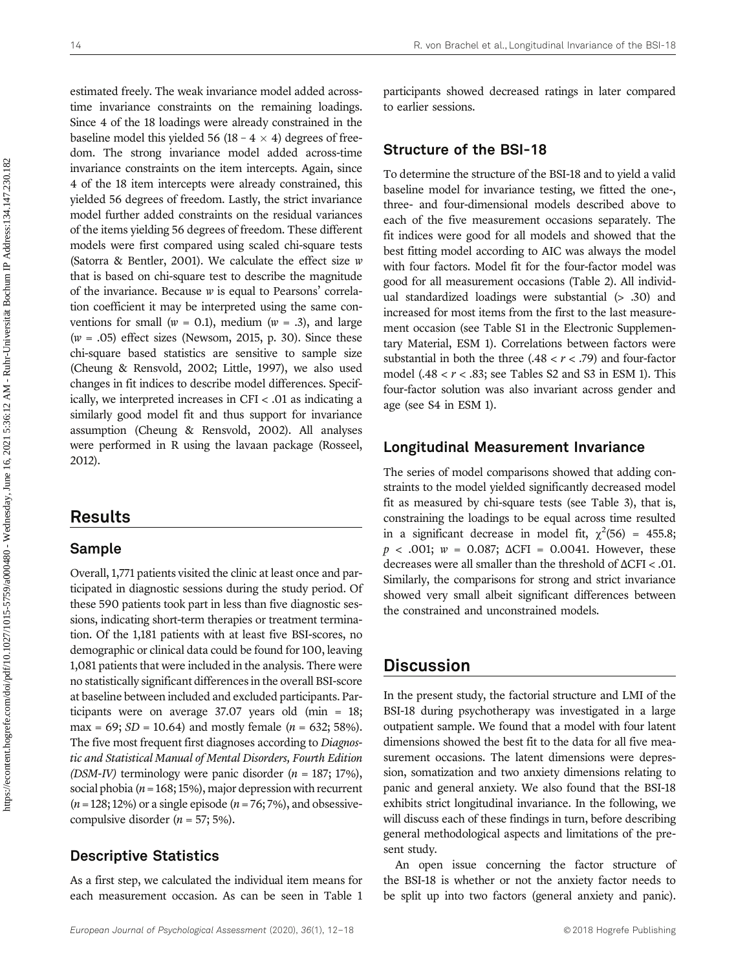estimated freely. The weak invariance model added acrosstime invariance constraints on the remaining loadings. Since 4 of the 18 loadings were already constrained in the baseline model this yielded 56 (18 – 4  $\times$  4) degrees of freedom. The strong invariance model added across-time invariance constraints on the item intercepts. Again, since 4 of the 18 item intercepts were already constrained, this yielded 56 degrees of freedom. Lastly, the strict invariance model further added constraints on the residual variances of the items yielding 56 degrees of freedom. These different models were first compared using scaled chi-square tests (Satorra & Bentler, 2001). We calculate the effect size w that is based on chi-square test to describe the magnitude of the invariance. Because w is equal to Pearsons' correlation coefficient it may be interpreted using the same conventions for small ( $w = 0.1$ ), medium ( $w = .3$ ), and large  $(w = .05)$  effect sizes (Newsom, 2015, p. 30). Since these chi-square based statistics are sensitive to sample size (Cheung & Rensvold, 2002; Little, 1997), we also used changes in fit indices to describe model differences. Specifically, we interpreted increases in CFI < .01 as indicating a similarly good model fit and thus support for invariance assumption (Cheung & Rensvold, 2002). All analyses were performed in R using the lavaan package (Rosseel, 2012).

# Results

## Sample

Overall, 1,771 patients visited the clinic at least once and participated in diagnostic sessions during the study period. Of these 590 patients took part in less than five diagnostic sessions, indicating short-term therapies or treatment termination. Of the 1,181 patients with at least five BSI-scores, no demographic or clinical data could be found for 100, leaving 1,081 patients that were included in the analysis. There were no statistically significant differences in the overall BSI-score at baseline between included and excluded participants. Participants were on average 37.07 years old (min = 18; max = 69;  $SD = 10.64$ ) and mostly female ( $n = 632$ ; 58%). The five most frequent first diagnoses according to Diagnostic and Statistical Manual of Mental Disorders, Fourth Edition (DSM-IV) terminology were panic disorder  $(n = 187; 17\%)$ , social phobia ( $n = 168; 15\%$ ), major depression with recurrent  $(n = 128; 12%)$  or a single episode  $(n = 76; 7%)$ , and obsessivecompulsive disorder  $(n = 57; 5\%).$ 

## Descriptive Statistics

As a first step, we calculated the individual item means for each measurement occasion. As can be seen in Table 1 participants showed decreased ratings in later compared to earlier sessions.

### Structure of the BSI-18

To determine the structure of the BSI-18 and to yield a valid baseline model for invariance testing, we fitted the one-, three- and four-dimensional models described above to each of the five measurement occasions separately. The fit indices were good for all models and showed that the best fitting model according to AIC was always the model with four factors. Model fit for the four-factor model was good for all measurement occasions (Table 2). All individual standardized loadings were substantial (> .30) and increased for most items from the first to the last measurement occasion (see Table S1 in the Electronic Supplementary Material, ESM 1). Correlations between factors were substantial in both the three  $(.48 < r < .79)$  and four-factor model  $(.48 < r < .83$ ; see Tables S2 and S3 in ESM 1). This four-factor solution was also invariant across gender and age (see S4 in ESM 1).

#### Longitudinal Measurement Invariance

The series of model comparisons showed that adding constraints to the model yielded significantly decreased model fit as measured by chi-square tests (see Table 3), that is, constraining the loadings to be equal across time resulted in a significant decrease in model fit,  $\chi^2(56) = 455.8$ ;  $p$  < .001;  $w = 0.087$ ;  $\Delta CFI = 0.0041$ . However, these decreases were all smaller than the threshold of ΔCFI < .01. Similarly, the comparisons for strong and strict invariance showed very small albeit significant differences between the constrained and unconstrained models.

## **Discussion**

In the present study, the factorial structure and LMI of the BSI-18 during psychotherapy was investigated in a large outpatient sample. We found that a model with four latent dimensions showed the best fit to the data for all five measurement occasions. The latent dimensions were depression, somatization and two anxiety dimensions relating to panic and general anxiety. We also found that the BSI-18 exhibits strict longitudinal invariance. In the following, we will discuss each of these findings in turn, before describing general methodological aspects and limitations of the present study.

An open issue concerning the factor structure of the BSI-18 is whether or not the anxiety factor needs to be split up into two factors (general anxiety and panic).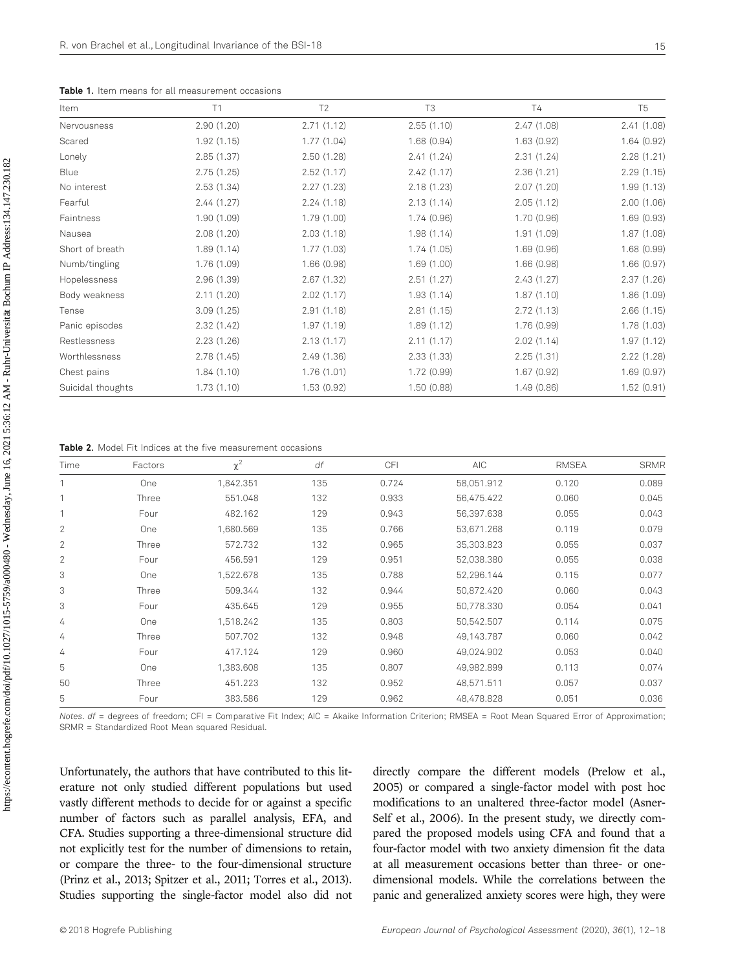| Item              | T1          | T <sub>2</sub> | T <sub>3</sub> | <b>T4</b>  | T <sub>5</sub> |
|-------------------|-------------|----------------|----------------|------------|----------------|
| Nervousness       | 2.90(1.20)  | 2.71(1.12)     | 2.55(1.10)     | 2.47(1.08) | 2.41(1.08)     |
| Scared            | 1.92(1.15)  | 1.77(1.04)     | 1.68(0.94)     | 1.63(0.92) | 1.64(0.92)     |
| Lonely            | 2.85(1.37)  | 2.50(1.28)     | 2.41(1.24)     | 2.31(1.24) | 2.28(1.21)     |
| Blue              | 2.75(1.25)  | 2.52(1.17)     | 2.42(1.17)     | 2.36(1.21) | 2.29(1.15)     |
| No interest       | 2.53(1.34)  | 2.27(1.23)     | 2.18(1.23)     | 2.07(1.20) | 1.99(1.13)     |
| Fearful           | 2.44(1.27)  | 2.24(1.18)     | 2.13(1.14)     | 2.05(1.12) | 2.00(1.06)     |
| Faintness         | 1.90(1.09)  | 1.79(1.00)     | 1.74(0.96)     | 1.70(0.96) | 1.69(0.93)     |
| Nausea            | 2.08(1.20)  | 2.03(1.18)     | 1.98(1.14)     | 1.91(1.09) | 1.87(1.08)     |
| Short of breath   | 1.89(1.14)  | 1.77(1.03)     | 1.74(1.05)     | 1.69(0.96) | 1.68 (0.99)    |
| Numb/tingling     | 1.76(1.09)  | 1.66(0.98)     | 1.69(1.00)     | 1.66(0.98) | 1.66(0.97)     |
| Hopelessness      | 2.96 (1.39) | 2.67(1.32)     | 2.51(1.27)     | 2.43(1.27) | 2.37(1.26)     |
| Body weakness     | 2.11(1.20)  | 2.02(1.17)     | 1.93(1.14)     | 1.87(1.10) | 1.86 (1.09)    |
| Tense             | 3.09(1.25)  | 2.91(1.18)     | 2.81(1.15)     | 2.72(1.13) | 2.66(1.15)     |
| Panic episodes    | 2.32(1.42)  | 1.97(1.19)     | 1.89(1.12)     | 1.76(0.99) | 1.78 (1.03)    |
| Restlessness      | 2.23(1.26)  | 2.13(1.17)     | 2.11(1.17)     | 2.02(1.14) | 1.97(1.12)     |
| Worthlessness     | 2.78(1.45)  | 2.49(1.36)     | 2.33(1.33)     | 2.25(1.31) | 2.22 (1.28)    |
| Chest pains       | 1.84(1.10)  | 1.76(1.01)     | 1.72(0.99)     | 1.67(0.92) | 1.69(0.97)     |
| Suicidal thoughts | 1.73(1.10)  | 1.53(0.92)     | 1.50(0.88)     | 1.49(0.86) | 1.52(0.91)     |

Table 1. Item means for all measurement occasions

Table 2. Model Fit Indices at the five measurement occasions

| Time           | Factors | $\chi^2$  | df  | CFI   | AIC        | <b>RMSEA</b> | <b>SRMR</b> |
|----------------|---------|-----------|-----|-------|------------|--------------|-------------|
|                | One     | 1,842.351 | 135 | 0.724 | 58,051.912 | 0.120        | 0.089       |
|                | Three   | 551.048   | 132 | 0.933 | 56,475.422 | 0.060        | 0.045       |
| $\overline{ }$ | Four    | 482.162   | 129 | 0.943 | 56,397.638 | 0.055        | 0.043       |
| $\mathbf{2}$   | One     | 1,680.569 | 135 | 0.766 | 53.671.268 | 0.119        | 0.079       |
| $\overline{2}$ | Three   | 572.732   | 132 | 0.965 | 35,303.823 | 0.055        | 0.037       |
| $\overline{2}$ | Four    | 456.591   | 129 | 0.951 | 52,038.380 | 0.055        | 0.038       |
| 3              | One     | 1,522.678 | 135 | 0.788 | 52,296.144 | 0.115        | 0.077       |
| 3              | Three   | 509.344   | 132 | 0.944 | 50,872.420 | 0.060        | 0.043       |
| 3              | Four    | 435.645   | 129 | 0.955 | 50.778.330 | 0.054        | 0.041       |
| 4              | One     | 1,518.242 | 135 | 0.803 | 50.542.507 | 0.114        | 0.075       |
| 4              | Three   | 507.702   | 132 | 0.948 | 49,143.787 | 0.060        | 0.042       |
| 4              | Four    | 417.124   | 129 | 0.960 | 49,024.902 | 0.053        | 0.040       |
| 5              | One     | 1,383.608 | 135 | 0.807 | 49,982.899 | 0.113        | 0.074       |
| 50             | Three   | 451.223   | 132 | 0.952 | 48,571.511 | 0.057        | 0.037       |
| 5              | Four    | 383.586   | 129 | 0.962 | 48,478.828 | 0.051        | 0.036       |

Notes. df = degrees of freedom; CFI = Comparative Fit Index; AIC = Akaike Information Criterion; RMSEA = Root Mean Squared Error of Approximation; SRMR = Standardized Root Mean squared Residual.

Unfortunately, the authors that have contributed to this literature not only studied different populations but used vastly different methods to decide for or against a specific number of factors such as parallel analysis, EFA, and CFA. Studies supporting a three-dimensional structure did not explicitly test for the number of dimensions to retain, or compare the three- to the four-dimensional structure (Prinz et al., 2013; Spitzer et al., 2011; Torres et al., 2013). Studies supporting the single-factor model also did not directly compare the different models (Prelow et al., 2005) or compared a single-factor model with post hoc modifications to an unaltered three-factor model (Asner-Self et al., 2006). In the present study, we directly compared the proposed models using CFA and found that a four-factor model with two anxiety dimension fit the data at all measurement occasions better than three- or onedimensional models. While the correlations between the panic and generalized anxiety scores were high, they were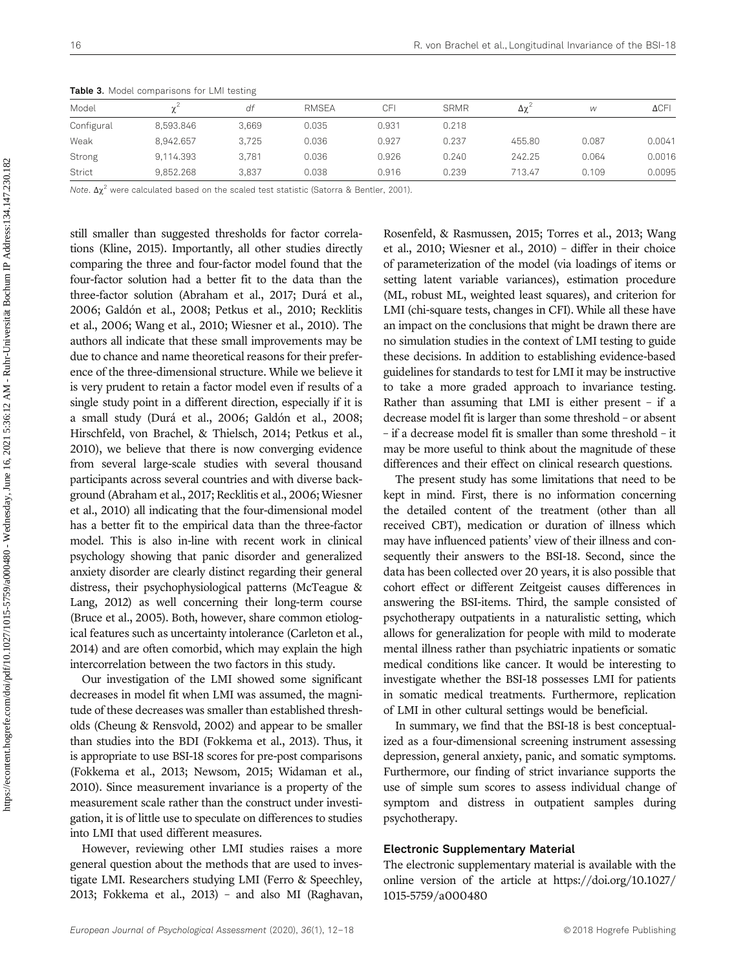|            |           | $\sim$ |              |       |             |                 |       |              |
|------------|-----------|--------|--------------|-------|-------------|-----------------|-------|--------------|
| Model      |           | df     | <b>RMSEA</b> | CFI   | <b>SRMR</b> | Δχ <sup>2</sup> | W     | $\Delta$ CFI |
| Configural | 8.593.846 | 3.669  | 0.035        | 0.931 | 0.218       |                 |       |              |
| Weak       | 8.942.657 | 3.725  | 0.036        | 0.927 | 0.237       | 455.80          | 0.087 | 0.0041       |
| Strong     | 9.114.393 | 3.781  | 0.036        | 0.926 | 0.240       | 242.25          | 0.064 | 0.0016       |
| Strict     | 9,852.268 | 3.837  | 0.038        | 0.916 | 0.239       | 713.47          | 0.109 | 0.0095       |

Table 3. Model comparisons for LMI testing

Note.  $Δχ²$  were calculated based on the scaled test statistic (Satorra & Bentler, 2001).

still smaller than suggested thresholds for factor correlations (Kline, 2015). Importantly, all other studies directly comparing the three and four-factor model found that the four-factor solution had a better fit to the data than the three-factor solution (Abraham et al., 2017; Durá et al., 2006; Galdón et al., 2008; Petkus et al., 2010; Recklitis et al., 2006; Wang et al., 2010; Wiesner et al., 2010). The authors all indicate that these small improvements may be due to chance and name theoretical reasons for their preference of the three-dimensional structure. While we believe it is very prudent to retain a factor model even if results of a single study point in a different direction, especially if it is a small study (Durá et al., 2006; Galdón et al., 2008; Hirschfeld, von Brachel, & Thielsch, 2014; Petkus et al., 2010), we believe that there is now converging evidence from several large-scale studies with several thousand participants across several countries and with diverse background (Abraham et al., 2017; Recklitis et al., 2006; Wiesner et al., 2010) all indicating that the four-dimensional model has a better fit to the empirical data than the three-factor model. This is also in-line with recent work in clinical psychology showing that panic disorder and generalized anxiety disorder are clearly distinct regarding their general distress, their psychophysiological patterns (McTeague & Lang, 2012) as well concerning their long-term course (Bruce et al., 2005). Both, however, share common etiological features such as uncertainty intolerance (Carleton et al., 2014) and are often comorbid, which may explain the high intercorrelation between the two factors in this study.

Our investigation of the LMI showed some significant decreases in model fit when LMI was assumed, the magnitude of these decreases was smaller than established thresholds (Cheung & Rensvold, 2002) and appear to be smaller than studies into the BDI (Fokkema et al., 2013). Thus, it is appropriate to use BSI-18 scores for pre-post comparisons (Fokkema et al., 2013; Newsom, 2015; Widaman et al., 2010). Since measurement invariance is a property of the measurement scale rather than the construct under investigation, it is of little use to speculate on differences to studies into LMI that used different measures.

However, reviewing other LMI studies raises a more general question about the methods that are used to investigate LMI. Researchers studying LMI (Ferro & Speechley, 2013; Fokkema et al., 2013) – and also MI (Raghavan,

Rosenfeld, & Rasmussen, 2015; Torres et al., 2013; Wang et al., 2010; Wiesner et al., 2010) – differ in their choice of parameterization of the model (via loadings of items or setting latent variable variances), estimation procedure (ML, robust ML, weighted least squares), and criterion for LMI (chi-square tests, changes in CFI). While all these have an impact on the conclusions that might be drawn there are no simulation studies in the context of LMI testing to guide these decisions. In addition to establishing evidence-based guidelines for standards to test for LMI it may be instructive to take a more graded approach to invariance testing. Rather than assuming that LMI is either present – if a decrease model fit is larger than some threshold – or absent – if a decrease model fit is smaller than some threshold – it may be more useful to think about the magnitude of these differences and their effect on clinical research questions.

The present study has some limitations that need to be kept in mind. First, there is no information concerning the detailed content of the treatment (other than all received CBT), medication or duration of illness which may have influenced patients' view of their illness and consequently their answers to the BSI-18. Second, since the data has been collected over 20 years, it is also possible that cohort effect or different Zeitgeist causes differences in answering the BSI-items. Third, the sample consisted of psychotherapy outpatients in a naturalistic setting, which allows for generalization for people with mild to moderate mental illness rather than psychiatric inpatients or somatic medical conditions like cancer. It would be interesting to investigate whether the BSI-18 possesses LMI for patients in somatic medical treatments. Furthermore, replication of LMI in other cultural settings would be beneficial.

In summary, we find that the BSI-18 is best conceptualized as a four-dimensional screening instrument assessing depression, general anxiety, panic, and somatic symptoms. Furthermore, our finding of strict invariance supports the use of simple sum scores to assess individual change of symptom and distress in outpatient samples during psychotherapy.

#### Electronic Supplementary Material

The electronic supplementary material is available with the online version of the article at [https://doi.org/](https://doi.org/10.1027/1015-5759/a000480)10.1027/ 1015-5759/a[000480](https://doi.org/10.1027/1015-5759/a000480)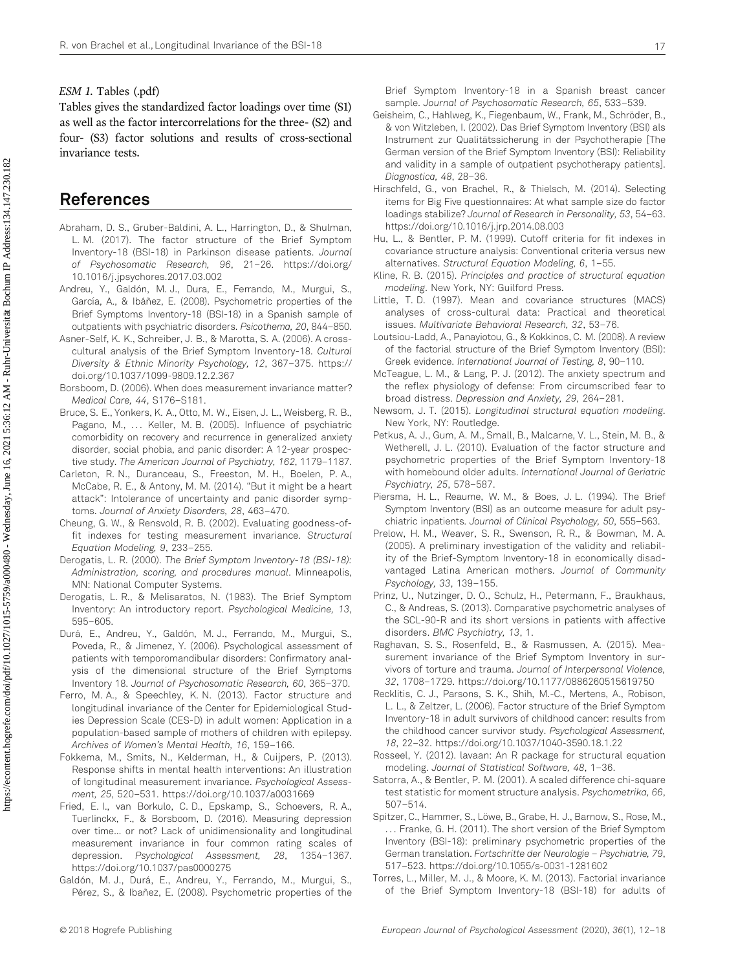#### ESM 1. Tables (.pdf)

Tables gives the standardized factor loadings over time (S1) as well as the factor intercorrelations for the three- (S2) and four- (S3) factor solutions and results of cross-sectional invariance tests.

# References

- Abraham, D. S., Gruber-Baldini, A. L., Harrington, D., & Shulman, L. M. (2017). The factor structure of the Brief Symptom Inventory-18 (BSI-18) in Parkinson disease patients. Journal of Psychosomatic Research, 96, 21–26. [https://doi.org/](https://doi.org/10.1016/j.jpsy�chores.2017.03.002) [10.1016/j.jpsychores.2017.03.002](https://doi.org/10.1016/j.jpsy�chores.2017.03.002)
- Andreu, Y., Galdón, M. J., Dura, E., Ferrando, M., Murgui, S., García, A., & Ibáñez, E. (2008). Psychometric properties of the Brief Symptoms Inventory-18 (BSI-18) in a Spanish sample of outpatients with psychiatric disorders. Psicothema, 20, 844–850.
- Asner-Self, K. K., Schreiber, J. B., & Marotta, S. A. (2006). A crosscultural analysis of the Brief Symptom Inventory-18. Cultural Diversity & Ethnic Minority Psychology, 12, 367–375. [https://](https://doi.org/10.1037/1099-9809.12.2.367) [doi.org/10.1037/1099-9809.12.2.367](https://doi.org/10.1037/1099-9809.12.2.367)
- Borsboom, D. (2006). When does measurement invariance matter? Medical Care, 44, S176–S181.
- Bruce, S. E., Yonkers, K. A., Otto, M. W., Eisen, J. L., Weisberg, R. B., Pagano, M., ... Keller, M. B. (2005). Influence of psychiatric comorbidity on recovery and recurrence in generalized anxiety disorder, social phobia, and panic disorder: A 12-year prospective study. The American Journal of Psychiatry, 162, 1179–1187.
- Carleton, R. N., Duranceau, S., Freeston, M. H., Boelen, P. A., McCabe, R. E., & Antony, M. M. (2014). "But it might be a heart attack": Intolerance of uncertainty and panic disorder symptoms. Journal of Anxiety Disorders, 28, 463–470.
- Cheung, G. W., & Rensvold, R. B. (2002). Evaluating goodness-offit indexes for testing measurement invariance. Structural Equation Modeling, 9, 233–255.
- Derogatis, L. R. (2000). The Brief Symptom Inventory-18 (BSI-18): Administration, scoring, and procedures manual. Minneapolis, MN: National Computer Systems.
- Derogatis, L. R., & Melisaratos, N. (1983). The Brief Symptom Inventory: An introductory report. Psychological Medicine, 13, 595–605.
- Durá, E., Andreu, Y., Galdón, M. J., Ferrando, M., Murgui, S., Poveda, R., & Jimenez, Y. (2006). Psychological assessment of patients with temporomandibular disorders: Confirmatory analysis of the dimensional structure of the Brief Symptoms Inventory 18. Journal of Psychosomatic Research, 60, 365–370.
- Ferro, M. A., & Speechley, K. N. (2013). Factor structure and longitudinal invariance of the Center for Epidemiological Studies Depression Scale (CES-D) in adult women: Application in a population-based sample of mothers of children with epilepsy. Archives of Women's Mental Health, 16, 159–166.
- Fokkema, M., Smits, N., Kelderman, H., & Cuijpers, P. (2013). Response shifts in mental health interventions: An illustration of longitudinal measurement invariance. Psychological Assessment, 25, 520–531.<https://doi.org/10.1037/a0031669>
- Fried, E. I., van Borkulo, C. D., Epskamp, S., Schoevers, R. A., Tuerlinckx, F., & Borsboom, D. (2016). Measuring depression over time... or not? Lack of unidimensionality and longitudinal measurement invariance in four common rating scales of depression. Psychological Assessment, 28, 1354–1367. [https://doi.org/10.1037/pas0000275](https://doi.org/10.1037/�pas0000275)
- Galdón, M. J., Durá, E., Andreu, Y., Ferrando, M., Murgui, S., Pérez, S., & Ibañez, E. (2008). Psychometric properties of the

Brief Symptom Inventory-18 in a Spanish breast cancer sample. Journal of Psychosomatic Research, 65, 533–539.

- Geisheim, C., Hahlweg, K., Fiegenbaum, W., Frank, M., Schröder, B., & von Witzleben, I. (2002). Das Brief Symptom Inventory (BSI) als Instrument zur Qualitätssicherung in der Psychotherapie [The German version of the Brief Symptom Inventory (BSI): Reliability and validity in a sample of outpatient psychotherapy patients]. Diagnostica, 48, 28–36.
- Hirschfeld, G., von Brachel, R., & Thielsch, M. (2014). Selecting items for Big Five questionnaires: At what sample size do factor loadings stabilize? Journal of Research in Personality, 53, 54–63. <https://doi.org/10.1016/j.jrp.2014.08.003>
- Hu, L., & Bentler, P. M. (1999). Cutoff criteria for fit indexes in covariance structure analysis: Conventional criteria versus new alternatives. Structural Equation Modeling, 6, 1–55.
- Kline, R. B. (2015). Principles and practice of structural equation modeling. New York, NY: Guilford Press.
- Little, T. D. (1997). Mean and covariance structures (MACS) analyses of cross-cultural data: Practical and theoretical issues. Multivariate Behavioral Research, 32, 53–76.
- Loutsiou-Ladd, A., Panayiotou, G., & Kokkinos, C. M. (2008). A review of the factorial structure of the Brief Symptom Inventory (BSI): Greek evidence. International Journal of Testing, 8, 90–110.
- McTeague, L. M., & Lang, P. J. (2012). The anxiety spectrum and the reflex physiology of defense: From circumscribed fear to broad distress. Depression and Anxiety, 29, 264–281.
- Newsom, J. T. (2015). Longitudinal structural equation modeling. New York, NY: Routledge.
- Petkus, A. J., Gum, A. M., Small, B., Malcarne, V. L., Stein, M. B., & Wetherell, J. L. (2010). Evaluation of the factor structure and psychometric properties of the Brief Symptom Inventory-18 with homebound older adults. International Journal of Geriatric Psychiatry, 25, 578–587.
- Piersma, H. L., Reaume, W. M., & Boes, J. L. (1994). The Brief Symptom Inventory (BSI) as an outcome measure for adult psychiatric inpatients. Journal of Clinical Psychology, 50, 555–563.
- Prelow, H. M., Weaver, S. R., Swenson, R. R., & Bowman, M. A. (2005). A preliminary investigation of the validity and reliability of the Brief-Symptom Inventory-18 in economically disadvantaged Latina American mothers. Journal of Community Psychology, 33, 139–155.
- Prinz, U., Nutzinger, D. O., Schulz, H., Petermann, F., Braukhaus, C., & Andreas, S. (2013). Comparative psychometric analyses of the SCL-90-R and its short versions in patients with affective disorders. BMC Psychiatry, 13, 1.
- Raghavan, S. S., Rosenfeld, B., & Rasmussen, A. (2015). Measurement invariance of the Brief Symptom Inventory in survivors of torture and trauma. Journal of Interpersonal Violence, 32, 1708–1729. [https://doi.org/10.1177/0886260515619750](https://doi.org/10.1177/0886260515619750 )
- Recklitis, C. J., Parsons, S. K., Shih, M.-C., Mertens, A., Robison, L. L., & Zeltzer, L. (2006). Factor structure of the Brief Symptom Inventory-18 in adult survivors of childhood cancer: results from the childhood cancer survivor study. Psychological Assessment, 18, 22–32.<https://doi.org/10.1037/1040-3590.18.1.22>
- Rosseel, Y. (2012). lavaan: An R package for structural equation modeling. Journal of Statistical Software, 48, 1–36.
- Satorra, A., & Bentler, P. M. (2001). A scaled difference chi-square test statistic for moment structure analysis. Psychometrika, 66, 507–514.
- Spitzer, C., Hammer, S., Löwe, B., Grabe, H. J., Barnow, S., Rose, M., ... Franke, G. H. (2011). The short version of the Brief Symptom Inventory (BSI-18): preliminary psychometric properties of the German translation. Fortschritte der Neurologie – Psychiatrie, 79, 517–523.<https://doi.org/10.1055/s-0031-1281602>
- Torres, L., Miller, M. J., & Moore, K. M. (2013). Factorial invariance of the Brief Symptom Inventory-18 (BSI-18) for adults of